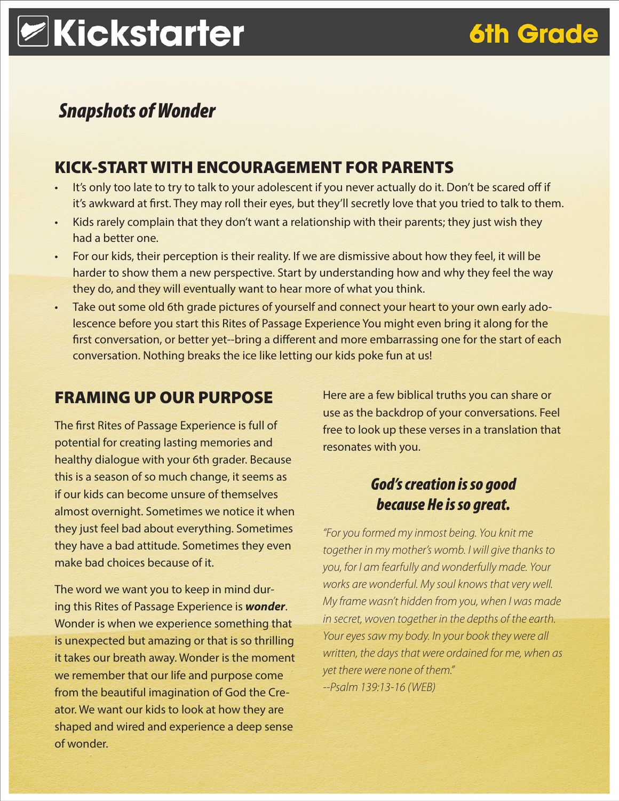# **ZKickstarter**

### **6th Grade**

### *Snapshots of Wonder*

#### KICK-START WITH ENCOURAGEMENT FOR PARENTS

- It's only too late to try to talk to your adolescent if you never actually do it. Don't be scared off if it's awkward at first. They may roll their eyes, but they'll secretly love that you tried to talk to them.
- Kids rarely complain that they don't want a relationship with their parents; they just wish they had a better one.
- For our kids, their perception is their reality. If we are dismissive about how they feel, it will be harder to show them a new perspective. Start by understanding how and why they feel the way they do, and they will eventually want to hear more of what you think.
- Take out some old 6th grade pictures of yourself and connect your heart to your own early adolescence before you start this Rites of Passage Experience You might even bring it along for the first conversation, or better yet--bring a different and more embarrassing one for the start of each conversation. Nothing breaks the ice like letting our kids poke fun at us!

#### FRAMING UP OUR PURPOSE

The first Rites of Passage Experience is full of potential for creating lasting memories and healthy dialogue with your 6th grader. Because this is a season of so much change, it seems as if our kids can become unsure of themselves almost overnight. Sometimes we notice it when they just feel bad about everything. Sometimes they have a bad attitude. Sometimes they even make bad choices because of it.

The word we want you to keep in mind during this Rites of Passage Experience is *wonder*. Wonder is when we experience something that is unexpected but amazing or that is so thrilling it takes our breath away. Wonder is the moment we remember that our life and purpose come from the beautiful imagination of God the Creator. We want our kids to look at how they are shaped and wired and experience a deep sense of wonder.

Here are a few biblical truths you can share or use as the backdrop of your conversations. Feel free to look up these verses in a translation that resonates with you.

#### *God's creation is so good because He is so great.*

*"For you formed my inmost being. You knit me together in my mother's womb. I will give thanks to you, for I am fearfully and wonderfully made. Your works are wonderful. My soul knows that very well. My frame wasn't hidden from you, when I was made in secret, woven together in the depths of the earth. Your eyes saw my body. In your book they were all written, the days that were ordained for me, when as yet there were none of them." --Psalm 139:13-16 (WEB)*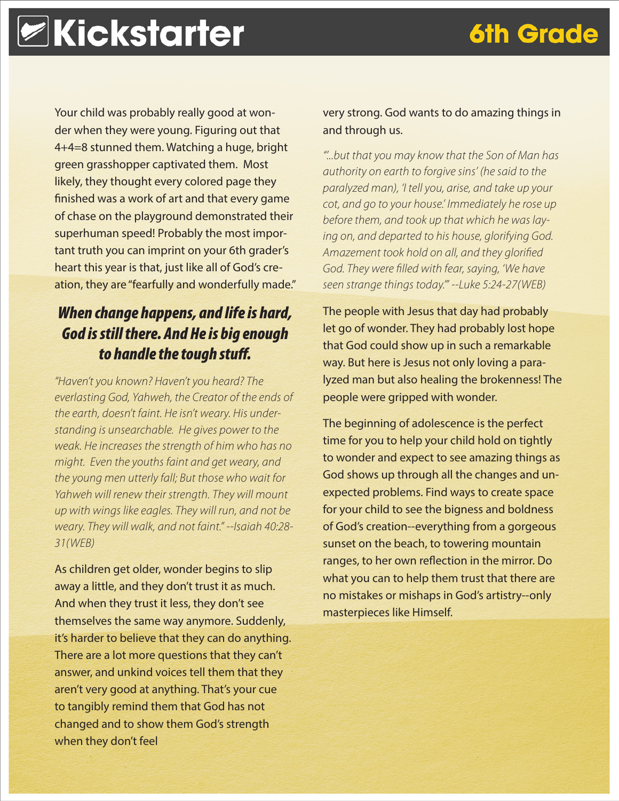**6th Grade** 

Your child was probably really good at wonder when they were young. Figuring out that 4+4=8 stunned them. Watching a huge, bright green grasshopper captivated them. Most likely, they thought every colored page they finished was a work of art and that every game of chase on the playground demonstrated their superhuman speed! Probably the most important truth you can imprint on your 6th grader's heart this year is that, just like all of God's creation, they are "fearfully and wonderfully made."

#### *When change happens, and life is hard, God is still there. And He is big enough to handle the tough stuff.*

*"Haven't you known? Haven't you heard? The everlasting God, Yahweh, the Creator of the ends of the earth, doesn't faint. He isn't weary. His understanding is unsearchable. He gives power to the weak. He increases the strength of him who has no might. Even the youths faint and get weary, and the young men utterly fall; But those who wait for Yahweh will renew their strength. They will mount up with wings like eagles. They will run, and not be weary. They will walk, and not faint." --Isaiah 40:28- 31(WEB)*

As children get older, wonder begins to slip away a little, and they don't trust it as much. And when they trust it less, they don't see themselves the same way anymore. Suddenly, it's harder to believe that they can do anything. There are a lot more questions that they can't answer, and unkind voices tell them that they aren't very good at anything. That's your cue to tangibly remind them that God has not changed and to show them God's strength when they don't feel

#### very strong. God wants to do amazing things in and through us.

*"'...but that you may know that the Son of Man has authority on earth to forgive sins' (he said to the paralyzed man), 'I tell you, arise, and take up your cot, and go to your house.' Immediately he rose up before them, and took up that which he was laying on, and departed to his house, glorifying God. Amazement took hold on all, and they glorified God. They were filled with fear, saying, 'We have seen strange things today.'" --Luke 5:24-27(WEB)*

The people with Jesus that day had probably let go of wonder. They had probably lost hope that God could show up in such a remarkable way. But here is Jesus not only loving a paralyzed man but also healing the brokenness! The people were gripped with wonder.

The beginning of adolescence is the perfect time for you to help your child hold on tightly to wonder and expect to see amazing things as God shows up through all the changes and unexpected problems. Find ways to create space for your child to see the bigness and boldness of God's creation--everything from a gorgeous sunset on the beach, to towering mountain ranges, to her own reflection in the mirror. Do what you can to help them trust that there are no mistakes or mishaps in God's artistry--only masterpieces like Himself.